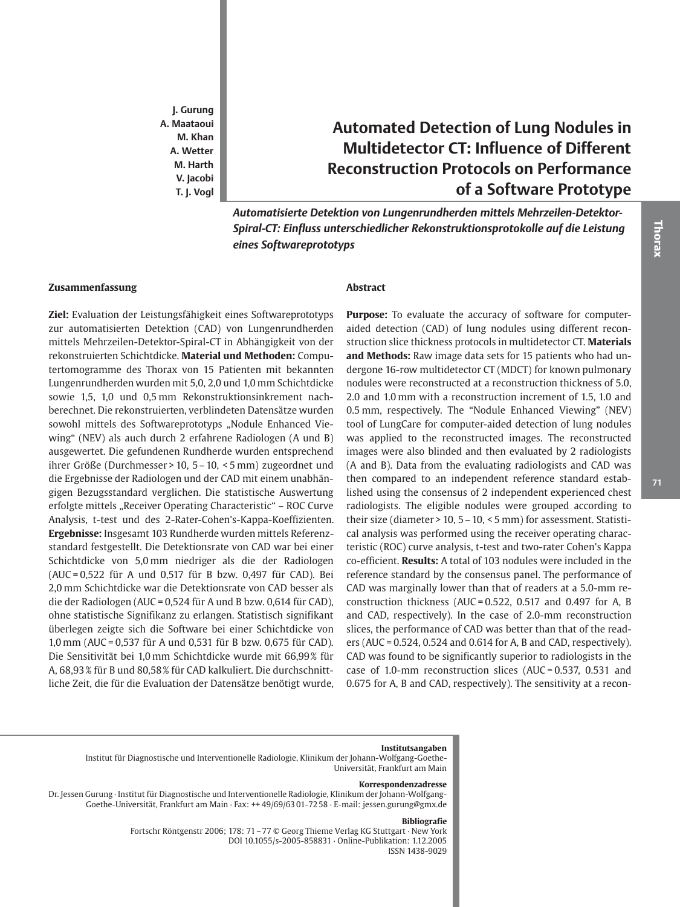**J. Gurung A. Maataoui M. Khan A. Wetter M. Harth V. Jacobi T. J. Vogl**

# **Automated Detection of Lung Nodules in Multidetector CT: Influence of Different Reconstruction Protocols on Performance of a Software Prototype**

*Automatisierte Detektion von Lungenrundherden mittels Mehrzeilen-Detektor-Spiral-CT: Einfluss unterschiedlicher Rekonstruktionsprotokolle auf die Leistung eines Softwareprototyps*

#### **Zusammenfassung**

**Ziel:** Evaluation der Leistungsfähigkeit eines Softwareprototyps zur automatisierten Detektion (CAD) von Lungenrundherden mittels Mehrzeilen-Detektor-Spiral-CT in Abhängigkeit von der rekonstruierten Schichtdicke. **Material und Methoden:** Computertomogramme des Thorax von 15 Patienten mit bekannten Lungenrundherden wurden mit 5,0, 2,0 und 1,0 mm Schichtdicke sowie 1,5, 1,0 und 0,5 mm Rekonstruktionsinkrement nachberechnet. Die rekonstruierten, verblindeten Datensätze wurden sowohl mittels des Softwareprototyps "Nodule Enhanced Viewing" (NEV) als auch durch 2 erfahrene Radiologen (A und B) ausgewertet. Die gefundenen Rundherde wurden entsprechend ihrer Größe (Durchmesser > 10, 5 – 10, < 5 mm) zugeordnet und die Ergebnisse der Radiologen und der CAD mit einem unabhängigen Bezugsstandard verglichen. Die statistische Auswertung erfolgte mittels "Receiver Operating Characteristic" - ROC Curve Analysis, t-test und des 2-Rater-Cohen's-Kappa-Koeffizienten. **Ergebnisse:** Insgesamt 103 Rundherde wurden mittels Referenzstandard festgestellt. Die Detektionsrate von CAD war bei einer Schichtdicke von 5,0 mm niedriger als die der Radiologen (AUC = 0,522 für A und 0,517 für B bzw. 0,497 für CAD). Bei 2,0 mm Schichtdicke war die Detektionsrate von CAD besser als die der Radiologen (AUC = 0,524 für A und B bzw. 0,614 für CAD), ohne statistische Signifikanz zu erlangen. Statistisch signifikant überlegen zeigte sich die Software bei einer Schichtdicke von 1,0 mm (AUC = 0,537 für A und 0,531 für B bzw. 0,675 für CAD). Die Sensitivität bei 1,0 mm Schichtdicke wurde mit 66,99 % für A, 68,93 % für B und 80,58 % für CAD kalkuliert. Die durchschnittliche Zeit, die für die Evaluation der Datensätze benötigt wurde,

# **Abstract**

**Purpose:** To evaluate the accuracy of software for computeraided detection (CAD) of lung nodules using different reconstruction slice thickness protocols in multidetector CT. **Materials and Methods:** Raw image data sets for 15 patients who had undergone 16-row multidetector CT (MDCT) for known pulmonary nodules were reconstructed at a reconstruction thickness of 5.0, 2.0 and 1.0 mm with a reconstruction increment of 1.5, 1.0 and 0.5 mm, respectively. The "Nodule Enhanced Viewing" (NEV) tool of LungCare for computer-aided detection of lung nodules was applied to the reconstructed images. The reconstructed images were also blinded and then evaluated by 2 radiologists (A and B). Data from the evaluating radiologists and CAD was then compared to an independent reference standard established using the consensus of 2 independent experienced chest radiologists. The eligible nodules were grouped according to their size (diameter > 10, 5 – 10, < 5 mm) for assessment. Statistical analysis was performed using the receiver operating characteristic (ROC) curve analysis, t-test and two-rater Cohen's Kappa co-efficient. **Results:** A total of 103 nodules were included in the reference standard by the consensus panel. The performance of CAD was marginally lower than that of readers at a 5.0-mm reconstruction thickness (AUC =  $0.522$ , 0.517 and 0.497 for A, B and CAD, respectively). In the case of 2.0-mm reconstruction slices, the performance of CAD was better than that of the readers (AUC = 0.524, 0.524 and 0.614 for A, B and CAD, respectively). CAD was found to be significantly superior to radiologists in the case of 1.0-mm reconstruction slices (AUC = 0.537, 0.531 and 0.675 for A, B and CAD, respectively). The sensitivity at a recon-

#### **Institutsangaben**

Institut für Diagnostische und Interventionelle Radiologie, Klinikum der Johann-Wolfgang-Goethe-Universität, Frankfurt am Main

#### **Korrespondenzadresse**

Dr. Jessen Gurung · Institut für Diagnostische und Interventionelle Radiologie, Klinikum der Johann-Wolfgang-Goethe-Universität, Frankfurt am Main · Fax: ++ 49/69/63 01-72 58 · E-mail: jessen.gurung@gmx.de

#### **Bibliografie**

Fortschr Röntgenstr 2006; 178: 71 – 77 © Georg Thieme Verlag KG Stuttgart · New York DOI 10.1055/s-2005-858831 · Online-Publikation: 1.12.2005 ISSN 1438-9029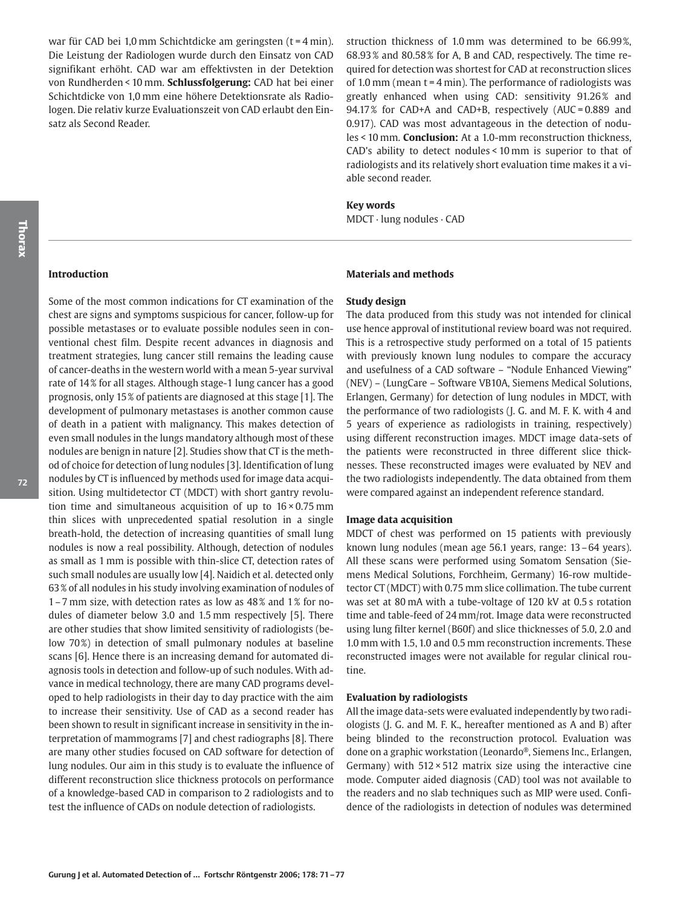war für CAD bei 1,0 mm Schichtdicke am geringsten (t = 4 min). Die Leistung der Radiologen wurde durch den Einsatz von CAD signifikant erhöht. CAD war am effektivsten in der Detektion von Rundherden < 10 mm. **Schlussfolgerung:** CAD hat bei einer Schichtdicke von 1,0 mm eine höhere Detektionsrate als Radiologen. Die relativ kurze Evaluationszeit von CAD erlaubt den Einsatz als Second Reader.

struction thickness of 1.0 mm was determined to be 66.99 %, 68.93 % and 80.58 % for A, B and CAD, respectively. The time required for detection was shortest for CAD at reconstruction slices of 1.0 mm (mean  $t = 4$  min). The performance of radiologists was greatly enhanced when using CAD: sensitivity 91.26% and 94.17% for CAD+A and CAD+B, respectively (AUC = 0.889 and 0.917). CAD was most advantageous in the detection of nodules < 10 mm. **Conclusion:** At a 1.0-mm reconstruction thickness, CAD's ability to detect nodules < 10 mm is superior to that of radiologists and its relatively short evaluation time makes it a viable second reader.

#### **Key words**

MDCT · lung nodules · CAD

## **Introduction**

Some of the most common indications for CT examination of the chest are signs and symptoms suspicious for cancer, follow-up for possible metastases or to evaluate possible nodules seen in conventional chest film. Despite recent advances in diagnosis and treatment strategies, lung cancer still remains the leading cause of cancer-deaths in the western world with a mean 5-year survival rate of 14 % for all stages. Although stage-1 lung cancer has a good prognosis, only 15 % of patients are diagnosed at this stage [1]. The development of pulmonary metastases is another common cause of death in a patient with malignancy. This makes detection of even small nodules in the lungs mandatory although most of these nodules are benign in nature [2]. Studies show that CT is the method of choice for detection of lung nodules [3]. Identification of lung nodules by CT is influenced by methods used for image data acquisition. Using multidetector CT (MDCT) with short gantry revolution time and simultaneous acquisition of up to  $16 \times 0.75$  mm thin slices with unprecedented spatial resolution in a single breath-hold, the detection of increasing quantities of small lung nodules is now a real possibility. Although, detection of nodules as small as 1 mm is possible with thin-slice CT, detection rates of such small nodules are usually low [4]. Naidich et al. detected only 63 % of all nodules in his study involving examination of nodules of 1 – 7 mm size, with detection rates as low as 48 % and 1 % for nodules of diameter below 3.0 and 1.5 mm respectively [5]. There are other studies that show limited sensitivity of radiologists (below 70%) in detection of small pulmonary nodules at baseline scans [6]. Hence there is an increasing demand for automated diagnosis tools in detection and follow-up of such nodules. With advance in medical technology, there are many CAD programs developed to help radiologists in their day to day practice with the aim to increase their sensitivity. Use of CAD as a second reader has been shown to result in significant increase in sensitivity in the interpretation of mammograms [7] and chest radiographs [8]. There are many other studies focused on CAD software for detection of lung nodules. Our aim in this study is to evaluate the influence of different reconstruction slice thickness protocols on performance of a knowledge-based CAD in comparison to 2 radiologists and to test the influence of CADs on nodule detection of radiologists.

#### **Materials and methods**

#### **Study design**

The data produced from this study was not intended for clinical use hence approval of institutional review board was not required. This is a retrospective study performed on a total of 15 patients with previously known lung nodules to compare the accuracy and usefulness of a CAD software – "Nodule Enhanced Viewing" (NEV) – (LungCare – Software VB10A, Siemens Medical Solutions, Erlangen, Germany) for detection of lung nodules in MDCT, with the performance of two radiologists (J. G. and M. F. K. with 4 and 5 years of experience as radiologists in training, respectively) using different reconstruction images. MDCT image data-sets of the patients were reconstructed in three different slice thicknesses. These reconstructed images were evaluated by NEV and the two radiologists independently. The data obtained from them were compared against an independent reference standard.

#### **Image data acquisition**

MDCT of chest was performed on 15 patients with previously known lung nodules (mean age 56.1 years, range: 13 – 64 years). All these scans were performed using Somatom Sensation (Siemens Medical Solutions, Forchheim, Germany) 16-row multidetector CT (MDCT) with 0.75 mm slice collimation. The tube current was set at 80 mA with a tube-voltage of 120 kV at 0.5 s rotation time and table-feed of 24 mm/rot. Image data were reconstructed using lung filter kernel (B60f) and slice thicknesses of 5.0, 2.0 and 1.0 mm with 1.5, 1.0 and 0.5 mm reconstruction increments. These reconstructed images were not available for regular clinical routine.

#### **Evaluation by radiologists**

All the image data-sets were evaluated independently by two radiologists (J. G. and M. F. K., hereafter mentioned as A and B) after being blinded to the reconstruction protocol. Evaluation was done on a graphic workstation (Leonardo®, Siemens Inc., Erlangen, Germany) with  $512 \times 512$  matrix size using the interactive cine mode. Computer aided diagnosis (CAD) tool was not available to the readers and no slab techniques such as MIP were used. Confidence of the radiologists in detection of nodules was determined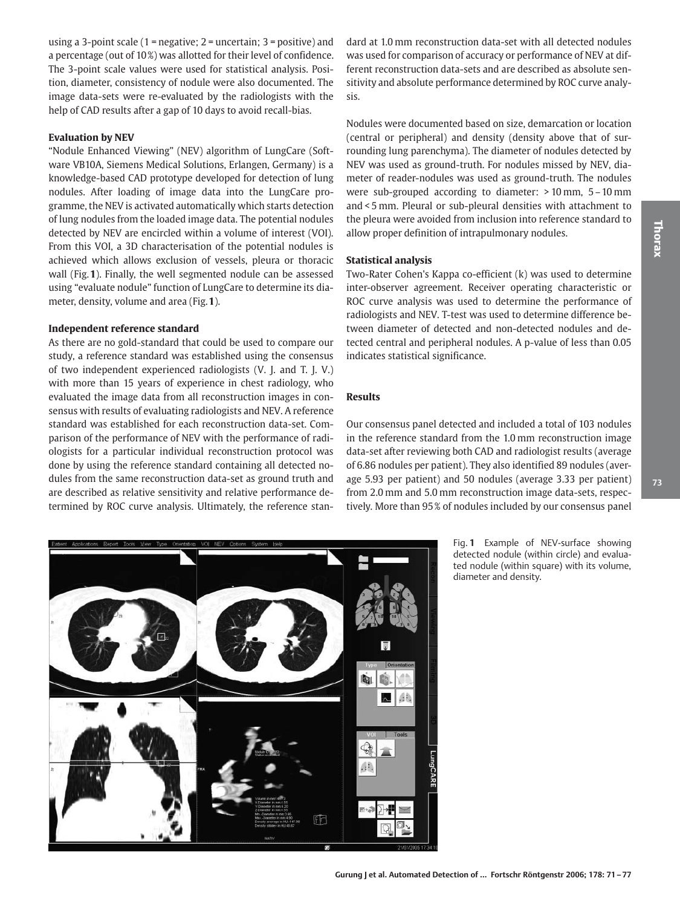using a 3-point scale  $(1 =$  negative;  $2 =$  uncertain;  $3 =$  positive) and a percentage (out of 10%) was allotted for their level of confidence. The 3-point scale values were used for statistical analysis. Position, diameter, consistency of nodule were also documented. The image data-sets were re-evaluated by the radiologists with the help of CAD results after a gap of 10 days to avoid recall-bias.

#### **Evaluation by NEV**

"Nodule Enhanced Viewing" (NEV) algorithm of LungCare (Software VB10A, Siemens Medical Solutions, Erlangen, Germany) is a knowledge-based CAD prototype developed for detection of lung nodules. After loading of image data into the LungCare programme, the NEV is activated automatically which starts detection of lung nodules from the loaded image data. The potential nodules detected by NEV are encircled within a volume of interest (VOI). From this VOI, a 3D characterisation of the potential nodules is achieved which allows exclusion of vessels, pleura or thoracic wall (Fig.**1**). Finally, the well segmented nodule can be assessed using "evaluate nodule" function of LungCare to determine its diameter, density, volume and area (Fig.**1**).

#### **Independent reference standard**

As there are no gold-standard that could be used to compare our study, a reference standard was established using the consensus of two independent experienced radiologists (V. J. and T. J. V.) with more than 15 years of experience in chest radiology, who evaluated the image data from all reconstruction images in consensus with results of evaluating radiologists and NEV. A reference standard was established for each reconstruction data-set. Comparison of the performance of NEV with the performance of radiologists for a particular individual reconstruction protocol was done by using the reference standard containing all detected nodules from the same reconstruction data-set as ground truth and are described as relative sensitivity and relative performance determined by ROC curve analysis. Ultimately, the reference stan-

dard at 1.0 mm reconstruction data-set with all detected nodules was used for comparison of accuracy or performance of NEV at different reconstruction data-sets and are described as absolute sensitivity and absolute performance determined by ROC curve analysis.

Nodules were documented based on size, demarcation or location (central or peripheral) and density (density above that of surrounding lung parenchyma). The diameter of nodules detected by NEV was used as ground-truth. For nodules missed by NEV, diameter of reader-nodules was used as ground-truth. The nodules were sub-grouped according to diameter: > 10 mm, 5 – 10 mm and < 5 mm. Pleural or sub-pleural densities with attachment to the pleura were avoided from inclusion into reference standard to allow proper definition of intrapulmonary nodules.

#### **Statistical analysis**

Two-Rater Cohen's Kappa co-efficient (k) was used to determine inter-observer agreement. Receiver operating characteristic or ROC curve analysis was used to determine the performance of radiologists and NEV. T-test was used to determine difference between diameter of detected and non-detected nodules and detected central and peripheral nodules. A p-value of less than 0.05 indicates statistical significance.

#### **Results**

Our consensus panel detected and included a total of 103 nodules in the reference standard from the 1.0 mm reconstruction image data-set after reviewing both CAD and radiologist results (average of 6.86 nodules per patient). They also identified 89 nodules (average 5.93 per patient) and 50 nodules (average 3.33 per patient) from 2.0 mm and 5.0 mm reconstruction image data-sets, respectively. More than 95 % of nodules included by our consensus panel

> Fig. **1** Example of NEV-surface showing detected nodule (within circle) and evaluated nodule (within square) with its volume, diameter and density.



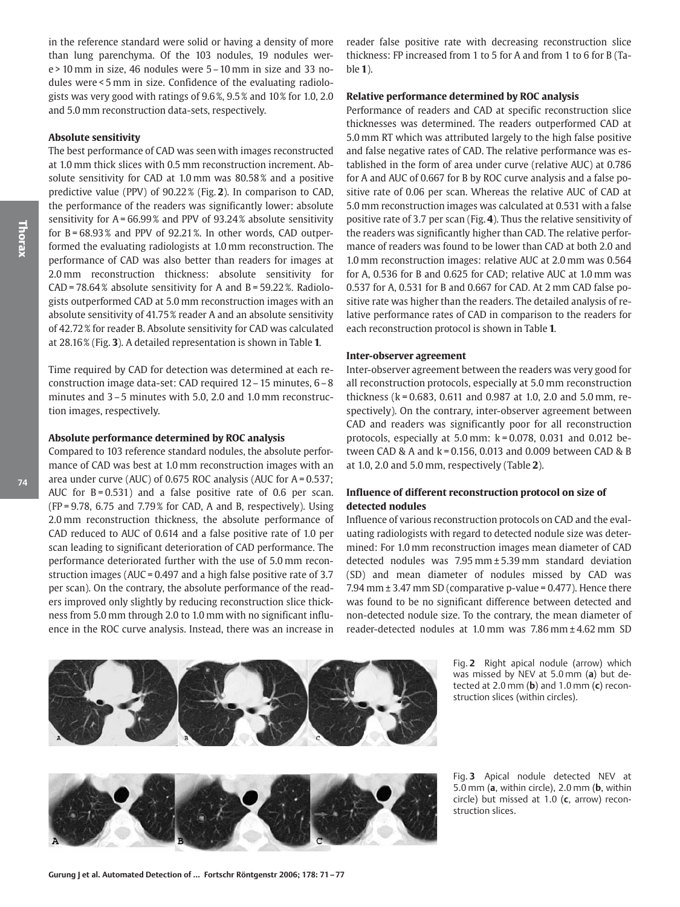in the reference standard were solid or having a density of more than lung parenchyma. Of the 103 nodules, 19 nodules were > 10 mm in size, 46 nodules were 5 – 10 mm in size and 33 nodules were < 5 mm in size. Confidence of the evaluating radiologists was very good with ratings of 9.6 %, 9.5 % and 10% for 1.0, 2.0 and 5.0 mm reconstruction data-sets, respectively.

#### **Absolute sensitivity**

The best performance of CAD was seen with images reconstructed at 1.0 mm thick slices with 0.5 mm reconstruction increment. Absolute sensitivity for CAD at 1.0 mm was 80.58% and a positive predictive value (PPV) of 90.22 % (Fig. **2**). In comparison to CAD, the performance of the readers was significantly lower: absolute sensitivity for  $A = 66.99\%$  and PPV of 93.24% absolute sensitivity for  $B = 68.93\%$  and PPV of 92.21%. In other words, CAD outperformed the evaluating radiologists at 1.0 mm reconstruction. The performance of CAD was also better than readers for images at 2.0 mm reconstruction thickness: absolute sensitivity for  $CAD = 78.64\%$  absolute sensitivity for A and B = 59.22%. Radiologists outperformed CAD at 5.0 mm reconstruction images with an absolute sensitivity of 41.75 % reader A and an absolute sensitivity of 42.72 % for reader B. Absolute sensitivity for CAD was calculated at 28.16 % (Fig. **3**). A detailed representation is shown in Table **1**.

Time required by CAD for detection was determined at each reconstruction image data-set: CAD required 12 – 15 minutes, 6 – 8 minutes and 3-5 minutes with 5.0, 2.0 and 1.0 mm reconstruction images, respectively.

#### **Absolute performance determined by ROC analysis**

Compared to 103 reference standard nodules, the absolute performance of CAD was best at 1.0 mm reconstruction images with an area under curve (AUC) of 0.675 ROC analysis (AUC for A = 0.537; AUC for  $B = 0.531$ ) and a false positive rate of 0.6 per scan.  $(FP = 9.78, 6.75, and 7.79%$  for CAD, A and B, respectively). Using 2.0 mm reconstruction thickness, the absolute performance of CAD reduced to AUC of 0.614 and a false positive rate of 1.0 per scan leading to significant deterioration of CAD performance. The performance deteriorated further with the use of 5.0 mm reconstruction images (AUC = 0.497 and a high false positive rate of 3.7 per scan). On the contrary, the absolute performance of the readers improved only slightly by reducing reconstruction slice thickness from 5.0 mm through 2.0 to 1.0 mm with no significant influence in the ROC curve analysis. Instead, there was an increase in reader false positive rate with decreasing reconstruction slice thickness: FP increased from 1 to 5 for A and from 1 to 6 for B (Table **1**).

#### **Relative performance determined by ROC analysis**

Performance of readers and CAD at specific reconstruction slice thicknesses was determined. The readers outperformed CAD at 5.0 mm RT which was attributed largely to the high false positive and false negative rates of CAD. The relative performance was established in the form of area under curve (relative AUC) at 0.786 for A and AUC of 0.667 for B by ROC curve analysis and a false positive rate of 0.06 per scan. Whereas the relative AUC of CAD at 5.0 mm reconstruction images was calculated at 0.531 with a false positive rate of 3.7 per scan (Fig. **4**). Thus the relative sensitivity of the readers was significantly higher than CAD. The relative performance of readers was found to be lower than CAD at both 2.0 and 1.0 mm reconstruction images: relative AUC at 2.0 mm was 0.564 for A, 0.536 for B and 0.625 for CAD; relative AUC at 1.0 mm was 0.537 for A, 0.531 for B and 0.667 for CAD. At 2 mm CAD false positive rate was higher than the readers. The detailed analysis of relative performance rates of CAD in comparison to the readers for each reconstruction protocol is shown in Table **1**.

#### **Inter-observer agreement**

Inter-observer agreement between the readers was very good for all reconstruction protocols, especially at 5.0 mm reconstruction thickness (k = 0.683, 0.611 and 0.987 at 1.0, 2.0 and 5.0 mm, respectively). On the contrary, inter-observer agreement between CAD and readers was significantly poor for all reconstruction protocols, especially at 5.0 mm:  $k = 0.078$ , 0.031 and 0.012 between CAD & A and k = 0.156, 0.013 and 0.009 between CAD & B at 1.0, 2.0 and 5.0 mm, respectively (Table **2**).

## **Influence of different reconstruction protocol on size of detected nodules**

Influence of various reconstruction protocols on CAD and the evaluating radiologists with regard to detected nodule size was determined: For 1.0 mm reconstruction images mean diameter of CAD detected nodules was 7.95 mm ± 5.39 mm standard deviation (SD) and mean diameter of nodules missed by CAD was 7.94 mm  $\pm$  3.47 mm SD (comparative p-value = 0.477). Hence there was found to be no significant difference between detected and non-detected nodule size. To the contrary, the mean diameter of reader-detected nodules at 1.0 mm was 7.86 mm ± 4.62 mm SD



Fig. **2** Right apical nodule (arrow) which was missed by NEV at 5.0 mm (**a**) but detected at 2.0 mm (**b**) and 1.0 mm (**c**) reconstruction slices (within circles).



Fig. **3** Apical nodule detected NEV at 5.0 mm (**a**, within circle), 2.0 mm (**b**, within circle) but missed at 1.0 (**c**, arrow) reconstruction slices.

**74**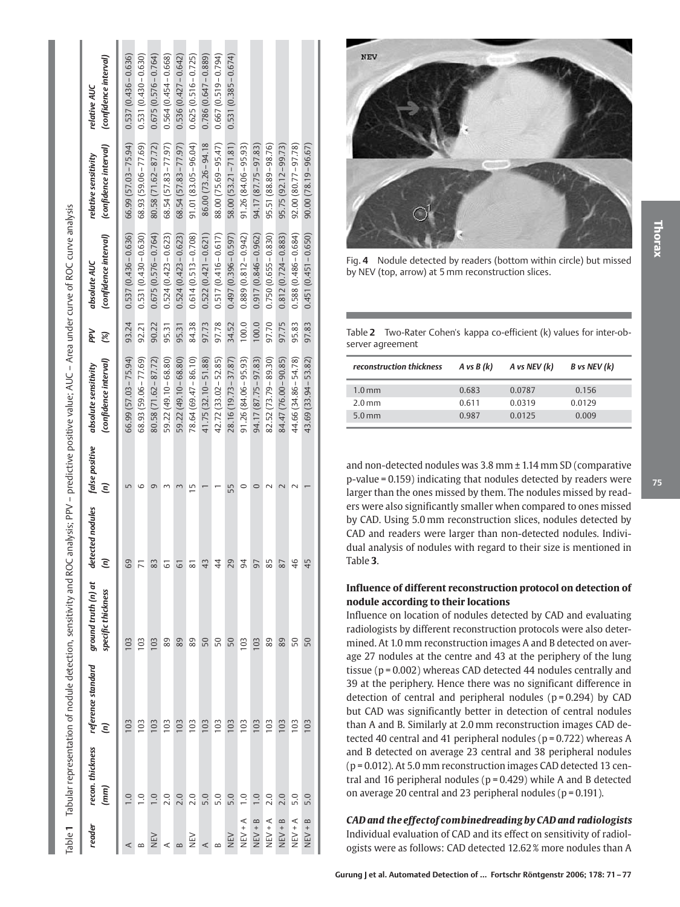| )<br>1)<br>1)                                                                         |
|---------------------------------------------------------------------------------------|
|                                                                                       |
|                                                                                       |
| ココミ                                                                                   |
| l                                                                                     |
|                                                                                       |
| $\ddot{\phantom{a}}$                                                                  |
|                                                                                       |
|                                                                                       |
|                                                                                       |
|                                                                                       |
| $\ddot{\phantom{a}}$                                                                  |
|                                                                                       |
| l                                                                                     |
| i                                                                                     |
| I                                                                                     |
|                                                                                       |
| ֖֖֖֖֧֧ׅ֧֖֧֧֖֧֚֚֚֚֚֚֚֚֚֚֚֚֚֚֚֚֚֚֚֚֚֚֚֚֚֬֝֓֞֝֬֓֓֞֓֝֓֓֞֬֝֓֞֓֬֝֓֓֬֓֓֞֬֝֓֝֬֝֬֝֓֬֝֬֝֓֝֬֝֬֝֬ |
| ֖֚֚֚֚֚֚֞֘֝֬                                                                           |
| l                                                                                     |
|                                                                                       |
| י<br>;                                                                                |
|                                                                                       |
|                                                                                       |
| <br> <br> <br> <br> <br>                                                              |
|                                                                                       |
| tectiol<br>l                                                                          |
|                                                                                       |
|                                                                                       |
|                                                                                       |
| ׇ֘֝֬֡                                                                                 |
|                                                                                       |
| l<br>l                                                                                |
|                                                                                       |
| I                                                                                     |
|                                                                                       |
| ļ<br>$\overline{a}$<br>֕<br>$\overline{\phantom{a}}$                                  |
|                                                                                       |
| l<br>I<br>$\overline{a}$                                                              |

| reader         | $\binom{mm}{\,}$  | recon. thickness reference standard ground truth (n) at<br>$\widehat{\epsilon}$ | specific thickness | detec<br>$\widehat{\epsilon}$ |               | (confidence interval)<br>tted nodules false positive absolute sensitivity | ΡŅ<br>$\otimes$ | (confidence interval)<br>absolute AUC                                                                 | (confidence interval)<br>relative sensitivity | (confidence interval)<br>relative AUC |
|----------------|-------------------|---------------------------------------------------------------------------------|--------------------|-------------------------------|---------------|---------------------------------------------------------------------------|-----------------|-------------------------------------------------------------------------------------------------------|-----------------------------------------------|---------------------------------------|
| ⋖              | $\overline{0}$ .  | 103                                                                             | 103                | 69                            |               |                                                                           |                 | 66.99 (57.03 – 75.94)   93.24   0.537 (0.436 – 0.636)   66.99 (57.03 – 75.94)   0.537 (0.436 – 0.636) |                                               |                                       |
| $\approx$      | $\frac{0}{1}$     | 103                                                                             | 103                | $\overline{7}$                |               | 68.93 (59.06 – 77.69)                                                     |                 | $92.21$ 0.531 (0.430 - 0.630)                                                                         | 68.93 (59.06 – 77.69)                         | $0.531(0.430 - 0.630)$                |
| NEN<br>N       | $\overline{0}$ .  | 103                                                                             | 103                | 83                            |               | $80.58(71.62 - 87.72)$                                                    | 90.22           | $0.675(0.576 - 0.764)$                                                                                | $80.58(71.62 - 87.72)$                        | $0.675(0.576 - 0.764)$                |
| ⋖              | 2.0               | 103                                                                             | 89                 | 5                             |               | 59.22 (49.10 - 68.80)                                                     | 95.31           | $0.524(0.423 - 0.623)$                                                                                | $68.54(57.83 - 77.97)$                        | $0.564(0.454 - 0.668)$                |
| $\infty$       | 2.0               | 103                                                                             | 89                 | 51                            |               | 59.22 (49.10 - 68.80)                                                     | 95.31           | $0.524(0.423 - 0.623)$                                                                                | $68.54(57.83 - 77.97)$                        | $0.536(0.427 - 0.642)$                |
| NEN<br>N       | 2.0               | 103                                                                             | 89                 | $\overline{8}$                | $\frac{5}{1}$ | 78.64 (69.47 – 86.10)                                                     | 84.38           | $0.614(0.513 - 0.708)$                                                                                | $91.01(83.05 - 96.04)$                        | $0.625(0.516 - 0.725)$                |
| ⋖              | 5.0               | 103                                                                             | 50                 | 43                            |               | $41.75(32.10 - 51.88)$                                                    | 97.73           | $0.522(0.421 - 0.621)$                                                                                | 86.00 (73.26 - 94.18                          | $0.786(0.647 - 0.889)$                |
| $\approx$      | 5.0               | 103                                                                             | 50                 | $\overline{4}$                |               | 42.72 (33.02 - 52.85)                                                     | 97.78           | $0.517(0.416 - 0.617)$                                                                                | 88.00 (75.69 – 95.47)                         | $0.667(0.519 - 0.794)$                |
| NEV            | 5.0               | 103                                                                             | 50                 | 29                            | 55            | 28.16 (19.73 – 37.87)                                                     |                 | 34.52 0.497 (0.396-0.597)                                                                             | $58.00(53.21 - 71.81)$                        | $0.531(0.385 - 0.674)$                |
| $NEN + A$      | $\overline{1}$ .0 | 103                                                                             | 103                | 94                            |               | 91.26 (84.06 - 95.93)                                                     |                 | $100.0$ 0.889 $(0.812 - 0.942)$                                                                       | $91.26(84.06 - 95.93)$                        |                                       |
| $NEV + B$      | $\overline{1.0}$  | 103                                                                             | 103                | 97                            |               | 94.17 (87.75 – 97.83)                                                     |                 | $100.0$ 0.917 (0.846-0.962)                                                                           | $94.17(87.75-97.83)$                          |                                       |
| $NEN + A$      | 2.0               | 103                                                                             | 89                 | 85                            |               | $82.52(73.79 - 89.30)$                                                    | 97.70           | $0.750(0.655 - 0.830)$                                                                                | $95.51(88.89 - 98.76)$                        |                                       |
| $NEV + B$      | 2.0               | 103                                                                             | 89                 | 87                            |               | 84.47 (76.00 - 90.85)                                                     | 97.75           | $0.812(0.724 - 0.883)$                                                                                | $95.75(92.12 - 99.73)$                        |                                       |
| $N + \sqrt{4}$ | 5.0               | 103                                                                             | 50                 | 46                            |               | 44.66 (34.86 – 54.78)                                                     | 95.83           | $0.588(0.486 - 0.684)$                                                                                | $92.00(80.77-97.78)$                          |                                       |
| $NEV + B$      | 5.0               | 103                                                                             | 50                 | 45                            |               | 43.69 (33.94 – 53.82)                                                     |                 | $97.83$ 0.451 (0.451 – 0.650)                                                                         | $90.00(78.19 - 96.67)$                        |                                       |



**Thorax**

Fig. **4** Nodule detected by readers (bottom within circle) but missed by NEV (top, arrow) at 5 mm reconstruction slices.

Table **2** Two-Rater Cohen's kappa co-efficient (k) values for inter-observer agreement

| reconstruction thickness | A vs $B(k)$ | A vs NEV (k) | B vs NEV (k) |  |
|--------------------------|-------------|--------------|--------------|--|
| 1.0 <sub>mm</sub>        | 0.683       | 0.0787       | 0.156        |  |
| $2.0$ mm                 | 0.611       | 0.0319       | 0.0129       |  |
| $5.0$ mm                 | 0.987       | 0.0125       | 0.009        |  |
|                          |             |              |              |  |

and non-detected nodules was 3.8 mm ± 1.14 mm SD (comparative p-value = 0.159) indicating that nodules detected by readers were larger than the ones missed by them. The nodules missed by readers were also significantly smaller when compared to ones missed by CAD. Using 5.0 mm reconstruction slices, nodules detected by CAD and readers were larger than non-detected nodules. Individual analysis of nodules with regard to their size is mentioned in Table **3** .

## **Influence of different reconstruction protocol on detection of nodule according to their locations**

Influence on location of nodules detected by CAD and evaluating radiologists by different reconstruction protocols were also determined. At 1.0 mm reconstruction images A and B detected on average 27 nodules at the centre and 43 at the periphery of the lung tissue (p = 0.002) whereas CAD detected 44 nodules centrally and 39 at the periphery. Hence there was no significant difference in detection of central and peripheral nodules  $(p = 0.294)$  by CAD but CAD was significantly better in detection of central nodules than A and B. Similarly at 2.0 mm reconstruction images CAD detected 40 central and 41 peripheral nodules ( $p = 0.722$ ) whereas A and B detected on average 23 central and 38 peripheral nodules (p = 0.012). At 5.0 mm reconstruction images CAD detected 13 central and 16 peripheral nodules ( $p = 0.429$ ) while A and B detected on average 20 central and 23 peripheral nodules ( $p = 0.191$ ).

# *CAD and the effectof combinedreading by CAD and radiologists* Individual evaluation of CAD and its effect on sensitivity of radiol-

ogists were as follows: CAD detected 12.62 % more nodules than A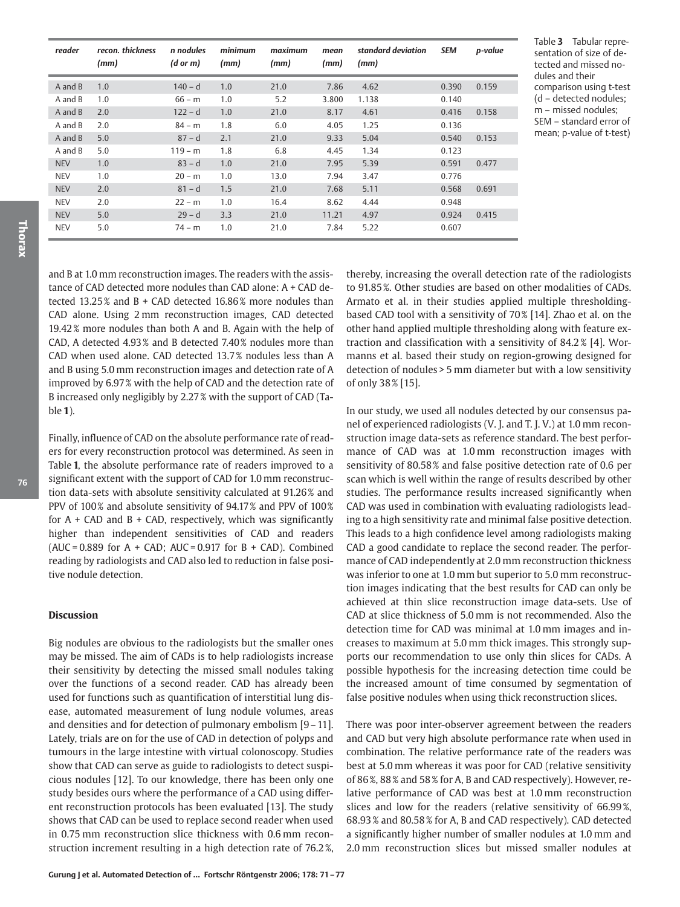| reader     | recon, thickness<br>(mm) | n nodules<br>$(d \text{ or } m)$ | minimum<br>(mm) | maximum<br>(mm) | mean<br>(mm) | standard deviation<br>(mm) | <b>SEM</b> | p-value |
|------------|--------------------------|----------------------------------|-----------------|-----------------|--------------|----------------------------|------------|---------|
| A and B    | 1.0                      | $140 - d$                        | 1.0             | 21.0            | 7.86         | 4.62                       | 0.390      | 0.159   |
| A and B    | 1.0                      | $66 - m$                         | 1.0             | 5.2             | 3.800        | 1.138                      | 0.140      |         |
| A and B    | 2.0                      | $122 - d$                        | 1.0             | 21.0            | 8.17         | 4.61                       | 0.416      | 0.158   |
| A and B    | 2.0                      | $84 - m$                         | 1.8             | 6.0             | 4.05         | 1.25                       | 0.136      |         |
| A and B    | 5.0                      | $87 - d$                         | 2.1             | 21.0            | 9.33         | 5.04                       | 0.540      | 0.153   |
| A and B    | 5.0                      | $119 - m$                        | 1.8             | 6.8             | 4.45         | 1.34                       | 0.123      |         |
| <b>NEV</b> | 1.0                      | $83 - d$                         | 1.0             | 21.0            | 7.95         | 5.39                       | 0.591      | 0.477   |
| <b>NEV</b> | 1.0                      | $20 - m$                         | 1.0             | 13.0            | 7.94         | 3.47                       | 0.776      |         |
| <b>NEV</b> | 2.0                      | $81 - d$                         | 1.5             | 21.0            | 7.68         | 5.11                       | 0.568      | 0.691   |
| <b>NEV</b> | 2.0                      | $22 - m$                         | 1.0             | 16.4            | 8.62         | 4.44                       | 0.948      |         |
| <b>NEV</b> | 5.0                      | $29 - d$                         | 3.3             | 21.0            | 11.21        | 4.97                       | 0.924      | 0.415   |
| <b>NEV</b> | 5.0                      | $74 - m$                         | 1.0             | 21.0            | 7.84         | 5.22                       | 0.607      |         |

Table **3** Tabular representation of size of detected and missed nodules and their comparison using t-test (d – detected nodules; m – missed nodules; SEM – standard error of mean; p-value of t-test)

and B at 1.0 mm reconstruction images. The readers with the assistance of CAD detected more nodules than CAD alone: A + CAD detected  $13.25\%$  and B + CAD detected  $16.86\%$  more nodules than CAD alone. Using 2 mm reconstruction images, CAD detected 19.42 % more nodules than both A and B. Again with the help of CAD, A detected 4.93 % and B detected 7.40 % nodules more than CAD when used alone. CAD detected 13.7 % nodules less than A and B using 5.0 mm reconstruction images and detection rate of A improved by 6.97 % with the help of CAD and the detection rate of B increased only negligibly by 2.27 % with the support of CAD (Table **1**).

Finally, influence of CAD on the absolute performance rate of readers for every reconstruction protocol was determined. As seen in Table **1**, the absolute performance rate of readers improved to a significant extent with the support of CAD for 1.0 mm reconstruction data-sets with absolute sensitivity calculated at 91.26 % and PPV of 100% and absolute sensitivity of 94.17% and PPV of 100% for  $A + CAD$  and  $B + CAD$ , respectively, which was significantly higher than independent sensitivities of CAD and readers (AUC =  $0.889$  for A + CAD; AUC =  $0.917$  for B + CAD). Combined reading by radiologists and CAD also led to reduction in false positive nodule detection.

#### **Discussion**

Big nodules are obvious to the radiologists but the smaller ones may be missed. The aim of CADs is to help radiologists increase their sensitivity by detecting the missed small nodules taking over the functions of a second reader. CAD has already been used for functions such as quantification of interstitial lung disease, automated measurement of lung nodule volumes, areas and densities and for detection of pulmonary embolism [9 – 11]. Lately, trials are on for the use of CAD in detection of polyps and tumours in the large intestine with virtual colonoscopy. Studies show that CAD can serve as guide to radiologists to detect suspicious nodules [12]. To our knowledge, there has been only one study besides ours where the performance of a CAD using different reconstruction protocols has been evaluated [13]. The study shows that CAD can be used to replace second reader when used in 0.75 mm reconstruction slice thickness with 0.6 mm reconstruction increment resulting in a high detection rate of 76.2 %,

thereby, increasing the overall detection rate of the radiologists to 91.85 %. Other studies are based on other modalities of CADs. Armato et al. in their studies applied multiple thresholdingbased CAD tool with a sensitivity of 70% [14]. Zhao et al. on the other hand applied multiple thresholding along with feature extraction and classification with a sensitivity of 84.2 % [4]. Wormanns et al. based their study on region-growing designed for detection of nodules > 5 mm diameter but with a low sensitivity of only 38 % [15].

In our study, we used all nodules detected by our consensus panel of experienced radiologists (V. J. and T. J. V.) at 1.0 mm reconstruction image data-sets as reference standard. The best performance of CAD was at 1.0 mm reconstruction images with sensitivity of 80.58 % and false positive detection rate of 0.6 per scan which is well within the range of results described by other studies. The performance results increased significantly when CAD was used in combination with evaluating radiologists leading to a high sensitivity rate and minimal false positive detection. This leads to a high confidence level among radiologists making CAD a good candidate to replace the second reader. The performance of CAD independently at 2.0 mm reconstruction thickness was inferior to one at 1.0 mm but superior to 5.0 mm reconstruction images indicating that the best results for CAD can only be achieved at thin slice reconstruction image data-sets. Use of CAD at slice thickness of 5.0 mm is not recommended. Also the detection time for CAD was minimal at 1.0 mm images and increases to maximum at 5.0 mm thick images. This strongly supports our recommendation to use only thin slices for CADs. A possible hypothesis for the increasing detection time could be the increased amount of time consumed by segmentation of false positive nodules when using thick reconstruction slices.

There was poor inter-observer agreement between the readers and CAD but very high absolute performance rate when used in combination. The relative performance rate of the readers was best at 5.0 mm whereas it was poor for CAD (relative sensitivity of 86 %, 88 % and 58 % for A, B and CAD respectively). However, relative performance of CAD was best at 1.0 mm reconstruction slices and low for the readers (relative sensitivity of 66.99 %, 68.93 % and 80.58 % for A, B and CAD respectively). CAD detected a significantly higher number of smaller nodules at 1.0 mm and 2.0 mm reconstruction slices but missed smaller nodules at